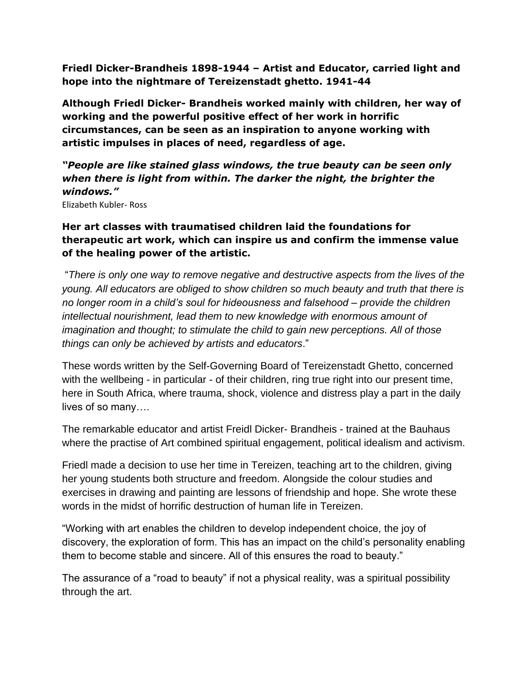**Friedl Dicker-Brandheis 1898-1944 – Artist and Educator, carried light and hope into the nightmare of Tereizenstadt ghetto. 1941-44**

**Although Friedl Dicker- Brandheis worked mainly with children, her way of working and the powerful positive effect of her work in horrific circumstances, can be seen as an inspiration to anyone working with artistic impulses in places of need, regardless of age.**

*"People are like stained glass windows, the true beauty can be seen only when there is light from within. The darker the night, the brighter the windows."*

Elizabeth Kubler- Ross

## **Her art classes with traumatised children laid the foundations for therapeutic art work, which can inspire us and confirm the immense value of the healing power of the artistic.**

"*There is only one way to remove negative and destructive aspects from the lives of the young. All educators are obliged to show children so much beauty and truth that there is no longer room in a child's soul for hideousness and falsehood – provide the children intellectual nourishment, lead them to new knowledge with enormous amount of imagination and thought; to stimulate the child to gain new perceptions. All of those things can only be achieved by artists and educators*."

These words written by the Self-Governing Board of Tereizenstadt Ghetto, concerned with the wellbeing - in particular - of their children, ring true right into our present time, here in South Africa, where trauma, shock, violence and distress play a part in the daily lives of so many….

The remarkable educator and artist Freidl Dicker- Brandheis - trained at the Bauhaus where the practise of Art combined spiritual engagement, political idealism and activism.

Friedl made a decision to use her time in Tereizen, teaching art to the children, giving her young students both structure and freedom. Alongside the colour studies and exercises in drawing and painting are lessons of friendship and hope. She wrote these words in the midst of horrific destruction of human life in Tereizen.

"Working with art enables the children to develop independent choice, the joy of discovery, the exploration of form. This has an impact on the child's personality enabling them to become stable and sincere. All of this ensures the road to beauty."

The assurance of a "road to beauty" if not a physical reality, was a spiritual possibility through the art.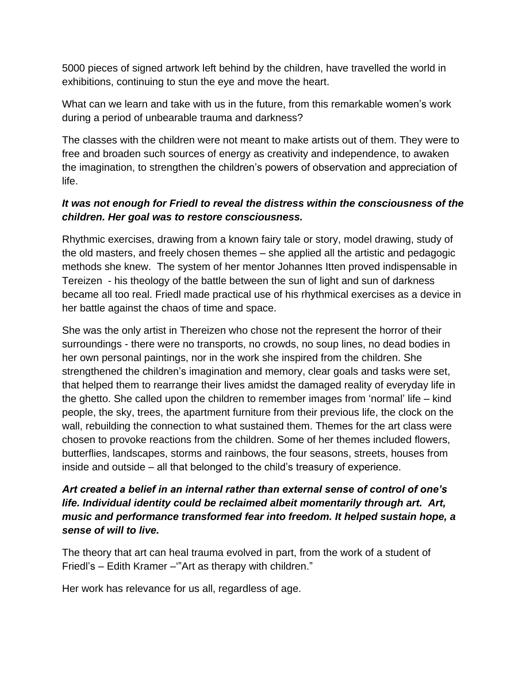5000 pieces of signed artwork left behind by the children, have travelled the world in exhibitions, continuing to stun the eye and move the heart.

What can we learn and take with us in the future, from this remarkable women's work during a period of unbearable trauma and darkness?

The classes with the children were not meant to make artists out of them. They were to free and broaden such sources of energy as creativity and independence, to awaken the imagination, to strengthen the children's powers of observation and appreciation of life.

## *It was not enough for Friedl to reveal the distress within the consciousness of the children. Her goal was to restore consciousness.*

Rhythmic exercises, drawing from a known fairy tale or story, model drawing, study of the old masters, and freely chosen themes – she applied all the artistic and pedagogic methods she knew. The system of her mentor Johannes Itten proved indispensable in Tereizen - his theology of the battle between the sun of light and sun of darkness became all too real. Friedl made practical use of his rhythmical exercises as a device in her battle against the chaos of time and space.

She was the only artist in Thereizen who chose not the represent the horror of their surroundings - there were no transports, no crowds, no soup lines, no dead bodies in her own personal paintings, nor in the work she inspired from the children. She strengthened the children's imagination and memory, clear goals and tasks were set, that helped them to rearrange their lives amidst the damaged reality of everyday life in the ghetto. She called upon the children to remember images from 'normal' life – kind people, the sky, trees, the apartment furniture from their previous life, the clock on the wall, rebuilding the connection to what sustained them. Themes for the art class were chosen to provoke reactions from the children. Some of her themes included flowers, butterflies, landscapes, storms and rainbows, the four seasons, streets, houses from inside and outside – all that belonged to the child's treasury of experience.

## *Art created a belief in an internal rather than external sense of control of one's life. Individual identity could be reclaimed albeit momentarily through art. Art, music and performance transformed fear into freedom. It helped sustain hope, a sense of will to live.*

The theory that art can heal trauma evolved in part, from the work of a student of Friedl's – Edith Kramer –'"Art as therapy with children."

Her work has relevance for us all, regardless of age.